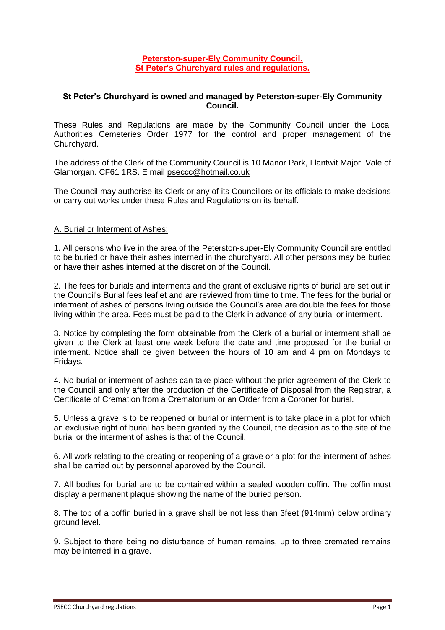## **Peterston-super-Ely Community Council. St Peter's Churchyard rules and regulations.**

## **St Peter's Churchyard is owned and managed by Peterston-super-Ely Community Council.**

These Rules and Regulations are made by the Community Council under the Local Authorities Cemeteries Order 1977 for the control and proper management of the Churchyard.

The address of the Clerk of the Community Council is 10 Manor Park, Llantwit Major, Vale of Glamorgan. CF61 1RS. E mail [pseccc@hotmail.co.uk](mailto:pseccc@hotmail.co.uk)

The Council may authorise its Clerk or any of its Councillors or its officials to make decisions or carry out works under these Rules and Regulations on its behalf.

## A. Burial or Interment of Ashes:

1. All persons who live in the area of the Peterston-super-Ely Community Council are entitled to be buried or have their ashes interned in the churchyard. All other persons may be buried or have their ashes interned at the discretion of the Council.

2. The fees for burials and interments and the grant of exclusive rights of burial are set out in the Council's Burial fees leaflet and are reviewed from time to time. The fees for the burial or interment of ashes of persons living outside the Council's area are double the fees for those living within the area. Fees must be paid to the Clerk in advance of any burial or interment.

3. Notice by completing the form obtainable from the Clerk of a burial or interment shall be given to the Clerk at least one week before the date and time proposed for the burial or interment. Notice shall be given between the hours of 10 am and 4 pm on Mondays to Fridays.

4. No burial or interment of ashes can take place without the prior agreement of the Clerk to the Council and only after the production of the Certificate of Disposal from the Registrar, a Certificate of Cremation from a Crematorium or an Order from a Coroner for burial.

5. Unless a grave is to be reopened or burial or interment is to take place in a plot for which an exclusive right of burial has been granted by the Council, the decision as to the site of the burial or the interment of ashes is that of the Council.

6. All work relating to the creating or reopening of a grave or a plot for the interment of ashes shall be carried out by personnel approved by the Council.

7. All bodies for burial are to be contained within a sealed wooden coffin. The coffin must display a permanent plaque showing the name of the buried person.

8. The top of a coffin buried in a grave shall be not less than 3feet (914mm) below ordinary ground level.

9. Subject to there being no disturbance of human remains, up to three cremated remains may be interred in a grave.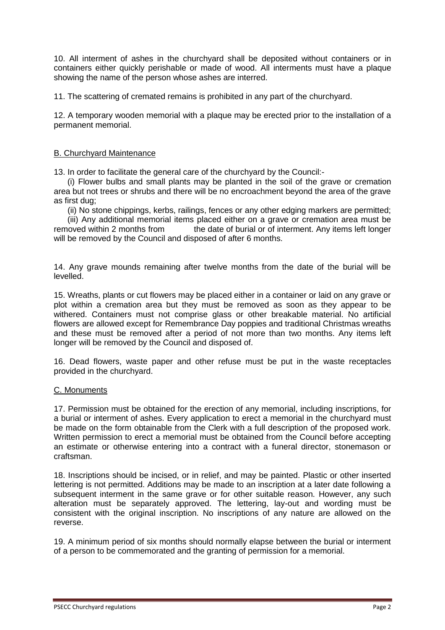10. All interment of ashes in the churchyard shall be deposited without containers or in containers either quickly perishable or made of wood. All interments must have a plaque showing the name of the person whose ashes are interred.

11. The scattering of cremated remains is prohibited in any part of the churchyard.

12. A temporary wooden memorial with a plaque may be erected prior to the installation of a permanent memorial.

## B. Churchyard Maintenance

13. In order to facilitate the general care of the churchyard by the Council:-

 (i) Flower bulbs and small plants may be planted in the soil of the grave or cremation area but not trees or shrubs and there will be no encroachment beyond the area of the grave as first dug;

(ii) No stone chippings, kerbs, railings, fences or any other edging markers are permitted;

 (iii) Any additional memorial items placed either on a grave or cremation area must be removed within 2 months from the date of burial or of interment. Any items left longer will be removed by the Council and disposed of after 6 months.

14. Any grave mounds remaining after twelve months from the date of the burial will be levelled.

15. Wreaths, plants or cut flowers may be placed either in a container or laid on any grave or plot within a cremation area but they must be removed as soon as they appear to be withered. Containers must not comprise glass or other breakable material. No artificial flowers are allowed except for Remembrance Day poppies and traditional Christmas wreaths and these must be removed after a period of not more than two months. Any items left longer will be removed by the Council and disposed of.

16. Dead flowers, waste paper and other refuse must be put in the waste receptacles provided in the churchyard.

# C. Monuments

17. Permission must be obtained for the erection of any memorial, including inscriptions, for a burial or interment of ashes. Every application to erect a memorial in the churchyard must be made on the form obtainable from the Clerk with a full description of the proposed work. Written permission to erect a memorial must be obtained from the Council before accepting an estimate or otherwise entering into a contract with a funeral director, stonemason or craftsman.

18. Inscriptions should be incised, or in relief, and may be painted. Plastic or other inserted lettering is not permitted. Additions may be made to an inscription at a later date following a subsequent interment in the same grave or for other suitable reason. However, any such alteration must be separately approved. The lettering, lay-out and wording must be consistent with the original inscription. No inscriptions of any nature are allowed on the reverse.

19. A minimum period of six months should normally elapse between the burial or interment of a person to be commemorated and the granting of permission for a memorial.